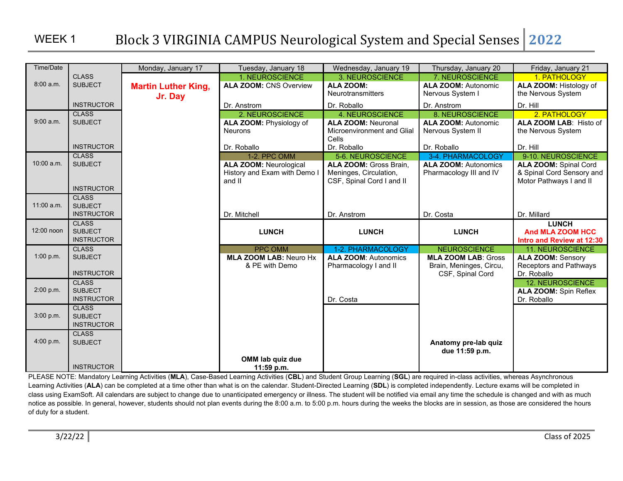| Time/Date  |                                | Monday, January 17         | Tuesday, January 18                                           | Wednesday, January 19                              | Thursday, January 20                             | Friday, January 21                                        |
|------------|--------------------------------|----------------------------|---------------------------------------------------------------|----------------------------------------------------|--------------------------------------------------|-----------------------------------------------------------|
|            | <b>CLASS</b>                   |                            | 1. NEUROSCIENCE                                               | 3. NEUROSCIENCE                                    | 7. NEUROSCIENCE                                  | 1. PATHOLOGY                                              |
| 8:00 a.m.  | <b>SUBJECT</b>                 | <b>Martin Luther King,</b> | <b>ALA ZOOM: CNS Overview</b>                                 | <b>ALA ZOOM:</b>                                   | <b>ALA ZOOM: Autonomic</b>                       | ALA ZOOM: Histology of                                    |
|            |                                | Jr. Day                    |                                                               | <b>Neurotransmitters</b>                           | Nervous System I                                 | the Nervous System                                        |
|            | <b>INSTRUCTOR</b>              |                            | Dr. Anstrom                                                   | Dr. Roballo                                        | Dr. Anstrom                                      | Dr. Hill                                                  |
|            | <b>CLASS</b>                   |                            | 2. NEUROSCIENCE                                               | 4. NEUROSCIENCE                                    | 8. NEUROSCIENCE                                  | 2. PATHOLOGY                                              |
| 9:00 a.m.  | <b>SUBJECT</b>                 |                            | ALA ZOOM: Physiology of                                       | <b>ALA ZOOM: Neuronal</b>                          | <b>ALA ZOOM: Autonomic</b>                       | ALA ZOOM LAB: Histo of                                    |
|            |                                |                            | <b>Neurons</b>                                                | Microenvironment and Glial                         | Nervous System II                                | the Nervous System                                        |
|            | <b>INSTRUCTOR</b>              |                            |                                                               | Cells                                              |                                                  |                                                           |
|            | <b>CLASS</b>                   |                            | Dr. Roballo                                                   | Dr. Roballo                                        | Dr. Roballo                                      | Dr. Hill                                                  |
| 10:00 a.m. | <b>SUBJECT</b>                 |                            | 1-2. PPC OMM                                                  | 5-6. NEUROSCIENCE<br><b>ALA ZOOM: Gross Brain.</b> | 3-4. PHARMACOLOGY<br><b>ALA ZOOM: Autonomics</b> | 9-10. NEUROSCIENCE                                        |
|            |                                |                            | <b>ALA ZOOM: Neurological</b><br>History and Exam with Demo I | Meninges, Circulation,                             | Pharmacology III and IV                          | <b>ALA ZOOM: Spinal Cord</b><br>& Spinal Cord Sensory and |
|            |                                |                            | and II                                                        | CSF, Spinal Cord I and II                          |                                                  | Motor Pathways I and II                                   |
|            | <b>INSTRUCTOR</b>              |                            |                                                               |                                                    |                                                  |                                                           |
|            | <b>CLASS</b>                   |                            |                                                               |                                                    |                                                  |                                                           |
| 11:00 a.m. | <b>SUBJECT</b>                 |                            |                                                               |                                                    |                                                  |                                                           |
|            | <b>INSTRUCTOR</b>              |                            | Dr. Mitchell                                                  | Dr. Anstrom                                        | Dr. Costa                                        | Dr. Millard                                               |
|            | <b>CLASS</b>                   |                            |                                                               |                                                    |                                                  | <b>LUNCH</b>                                              |
| 12:00 noon | <b>SUBJECT</b>                 |                            | <b>LUNCH</b>                                                  | <b>LUNCH</b>                                       | <b>LUNCH</b>                                     | <b>And MLA ZOOM HCC</b>                                   |
|            | <b>INSTRUCTOR</b>              |                            |                                                               |                                                    |                                                  | Intro and Review at 12:30                                 |
| 1:00 p.m.  | <b>CLASS</b><br><b>SUBJECT</b> |                            | <b>PPC OMM</b>                                                | 1-2. PHARMACOLOGY                                  | <b>NEUROSCIENCE</b>                              | <b>11. NEUROSCIENCE</b>                                   |
|            |                                |                            | <b>MLA ZOOM LAB: Neuro Hx</b>                                 | <b>ALA ZOOM: Autonomics</b>                        | <b>MLA ZOOM LAB: Gross</b>                       | <b>ALA ZOOM: Sensory</b>                                  |
|            | <b>INSTRUCTOR</b>              |                            | & PE with Demo                                                | Pharmacology I and II                              | Brain, Meninges, Circu,<br>CSF, Spinal Cord      | Receptors and Pathways<br>Dr. Roballo                     |
|            | <b>CLASS</b>                   |                            |                                                               |                                                    |                                                  | <b>12. NEUROSCIENCE</b>                                   |
| 2:00 p.m.  | <b>SUBJECT</b>                 |                            |                                                               |                                                    |                                                  | <b>ALA ZOOM: Spin Reflex</b>                              |
|            | <b>INSTRUCTOR</b>              |                            |                                                               | Dr. Costa                                          |                                                  | Dr. Roballo                                               |
|            | <b>CLASS</b>                   |                            |                                                               |                                                    |                                                  |                                                           |
| 3:00 p.m.  | <b>SUBJECT</b>                 |                            |                                                               |                                                    |                                                  |                                                           |
|            | <b>INSTRUCTOR</b>              |                            |                                                               |                                                    |                                                  |                                                           |
|            | <b>CLASS</b>                   |                            |                                                               |                                                    |                                                  |                                                           |
| 4:00 p.m.  | <b>SUBJECT</b>                 |                            |                                                               |                                                    | Anatomy pre-lab quiz                             |                                                           |
|            |                                |                            |                                                               |                                                    | due 11:59 p.m.                                   |                                                           |
|            |                                |                            | OMM lab quiz due                                              |                                                    |                                                  |                                                           |
|            | <b>INSTRUCTOR</b>              |                            | $11:59$ p.m.                                                  |                                                    |                                                  |                                                           |

PLEASE NOTE: Mandatory Learning Activities (**MLA**), Case-Based Learning Activities (**CBL**) and Student Group Learning (**SGL**) are required in-class activities, whereas Asynchronous Learning Activities (ALA) can be completed at a time other than what is on the calendar. Student-Directed Learning (SDL) is completed independently. Lecture exams will be completed in class using ExamSoft. All calendars are subject to change due to unanticipated emergency or illness. The student will be notified via email any time the schedule is changed and with as much notice as possible. In general, however, students should not plan events during the 8:00 a.m. to 5:00 p.m. hours during the weeks the blocks are in session, as those are considered the hours of duty for a student.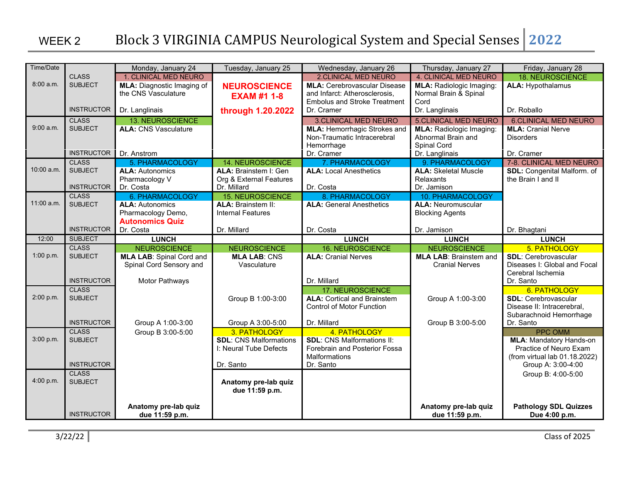| Time/Date  |                   | Monday, January 24                    | Tuesday, January 25           | Wednesday, January 26               | Thursday, January 27              | Friday, January 28                                    |
|------------|-------------------|---------------------------------------|-------------------------------|-------------------------------------|-----------------------------------|-------------------------------------------------------|
|            | <b>CLASS</b>      | 1. CLINICAL MED NEURO                 |                               | <b>2.CLINICAL MED NEURO</b>         | 4. CLINICAL MED NEURO             | <b>18. NEUROSCIENCE</b>                               |
| 8:00 a.m.  | <b>SUBJECT</b>    | <b>MLA:</b> Diagnostic Imaging of     | <b>NEUROSCIENCE</b>           | <b>MLA: Cerebrovascular Disease</b> | <b>MLA:</b> Radiologic Imaging:   | <b>ALA: Hypothalamus</b>                              |
|            |                   | the CNS Vasculature                   | <b>EXAM #1 1-8</b>            | and Infarct: Atherosclerosis,       | Normal Brain & Spinal             |                                                       |
|            |                   |                                       |                               | <b>Embolus and Stroke Treatment</b> | Cord                              |                                                       |
|            | <b>INSTRUCTOR</b> | Dr. Langlinais                        | through 1.20.2022             | Dr. Cramer                          | Dr. Langlinais                    | Dr. Roballo                                           |
|            | <b>CLASS</b>      | <b>13. NEUROSCIENCE</b>               |                               | <b>3.CLINICAL MED NEURO</b>         | <b>5.CLINICAL MED NEURO</b>       | <b>6.CLINICAL MED NEURO</b>                           |
| 9:00a.m.   | <b>SUBJECT</b>    | <b>ALA: CNS Vasculature</b>           |                               | <b>MLA: Hemorrhagic Strokes and</b> | <b>MLA:</b> Radiologic Imaging:   | <b>MLA: Cranial Nerve</b>                             |
|            |                   |                                       |                               | Non-Traumatic Intracerebral         | Abnormal Brain and                | <b>Disorders</b>                                      |
|            | <b>INSTRUCTOR</b> |                                       |                               | Hemorrhage                          | Spinal Cord                       |                                                       |
|            | <b>CLASS</b>      | Dr. Anstrom<br><b>5. PHARMACOLOGY</b> | <b>14. NEUROSCIENCE</b>       | Dr. Cramer<br>7. PHARMACOLOGY       | Dr. Langlinais<br>9. PHARMACOLOGY | Dr. Cramer<br>7-8. CLINICAL MED NEURO                 |
| 10:00 a.m. | <b>SUBJECT</b>    | <b>ALA: Autonomics</b>                | ALA: Brainstem I: Gen         | <b>ALA: Local Anesthetics</b>       | <b>ALA: Skeletal Muscle</b>       | SDL: Congenital Malform. of                           |
|            |                   | Pharmacology V                        | Org & External Features       |                                     | Relaxants                         | the Brain I and II                                    |
|            | <b>INSTRUCTOR</b> | Dr. Costa                             | Dr. Millard                   | Dr. Costa                           | Dr. Jamison                       |                                                       |
|            | <b>CLASS</b>      | <b>6. PHARMACOLOGY</b>                | <b>15. NEUROSCIENCE</b>       | 8. PHARMACOLOGY                     | 10. PHARMACOLOGY                  |                                                       |
| 11:00 a.m. | <b>SUBJECT</b>    | <b>ALA: Autonomics</b>                | <b>ALA: Brainstem II:</b>     | <b>ALA: General Anesthetics</b>     | <b>ALA: Neuromuscular</b>         |                                                       |
|            |                   | Pharmacology Demo,                    | <b>Internal Features</b>      |                                     | <b>Blocking Agents</b>            |                                                       |
|            |                   | <b>Autonomics Quiz</b>                |                               |                                     |                                   |                                                       |
|            | <b>INSTRUCTOR</b> | Dr. Costa                             | Dr. Millard                   | Dr. Costa                           | Dr. Jamison                       | Dr. Bhagtani                                          |
| 12:00      | <b>SUBJECT</b>    | <b>LUNCH</b>                          |                               | <b>LUNCH</b>                        | <b>LUNCH</b>                      | <b>LUNCH</b>                                          |
|            | <b>CLASS</b>      | <b>NEUROSCIENCE</b>                   | <b>NEUROSCIENCE</b>           | <b>16. NEUROSCIENCE</b>             | <b>NEUROSCIENCE</b>               | 5. PATHOLOGY                                          |
| 1:00 p.m.  | <b>SUBJECT</b>    | <b>MLA LAB: Spinal Cord and</b>       | <b>MLA LAB: CNS</b>           | <b>ALA: Cranial Nerves</b>          | <b>MLA LAB: Brainstem and</b>     | <b>SDL: Cerebrovascular</b>                           |
|            |                   | Spinal Cord Sensory and               | Vasculature                   |                                     | <b>Cranial Nerves</b>             | Diseases I: Global and Focal                          |
|            |                   |                                       |                               |                                     |                                   | Cerebral Ischemia                                     |
|            | <b>INSTRUCTOR</b> | Motor Pathways                        |                               | Dr. Millard                         |                                   | Dr. Santo                                             |
|            | <b>CLASS</b>      |                                       |                               | <b>17. NEUROSCIENCE</b>             |                                   | 6. PATHOLOGY                                          |
| 2:00 p.m.  | <b>SUBJECT</b>    |                                       | Group B 1:00-3:00             | <b>ALA: Cortical and Brainstem</b>  | Group A 1:00-3:00                 | <b>SDL: Cerebrovascular</b>                           |
|            |                   |                                       |                               | <b>Control of Motor Function</b>    |                                   | Disease II: Intracerebral,<br>Subarachnoid Hemorrhage |
|            | <b>INSTRUCTOR</b> | Group A 1:00-3:00                     | Group A 3:00-5:00             | Dr. Millard                         | Group B 3:00-5:00                 | Dr. Santo                                             |
|            | <b>CLASS</b>      | Group B 3:00-5:00                     | 3. PATHOLOGY                  | 4. PATHOLOGY                        |                                   | <b>PPC OMM</b>                                        |
| 3:00 p.m.  | <b>SUBJECT</b>    |                                       | <b>SDL: CNS Malformations</b> | <b>SDL: CNS Malformations II:</b>   |                                   | <b>MLA: Mandatory Hands-on</b>                        |
|            |                   |                                       | I: Neural Tube Defects        | Forebrain and Posterior Fossa       |                                   | Practice of Neuro Exam                                |
|            |                   |                                       |                               | Malformations                       |                                   | (from virtual lab 01.18.2022)                         |
|            | <b>INSTRUCTOR</b> |                                       | Dr. Santo                     | Dr. Santo                           |                                   | Group A: 3:00-4:00                                    |
|            | <b>CLASS</b>      |                                       |                               |                                     |                                   | Group B: 4:00-5:00                                    |
| 4:00 p.m.  | <b>SUBJECT</b>    |                                       | Anatomy pre-lab quiz          |                                     |                                   |                                                       |
|            |                   |                                       | due 11:59 p.m.                |                                     |                                   |                                                       |
|            |                   |                                       |                               |                                     |                                   |                                                       |
|            |                   | Anatomy pre-lab quiz                  |                               |                                     | Anatomy pre-lab quiz              | <b>Pathology SDL Quizzes</b>                          |
|            | <b>INSTRUCTOR</b> | due 11:59 p.m.                        |                               |                                     | due 11:59 p.m.                    | Due 4:00 p.m.                                         |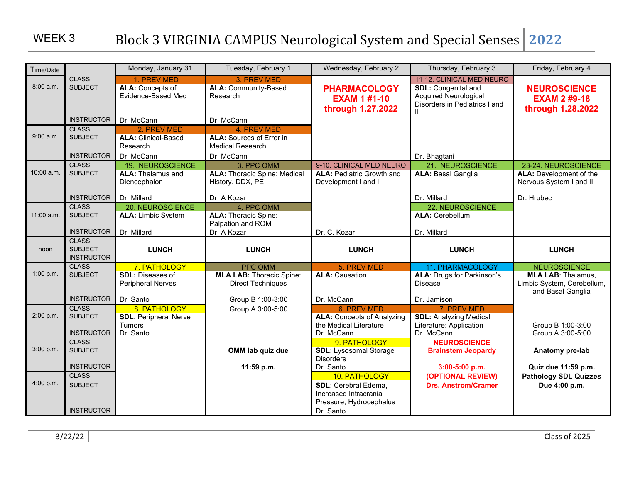| Time/Date  |                                                     | Monday, January 31                                                  | Tuesday, February 1                                                                     | Wednesday, February 2                                           | Thursday, February 3                                                                                                     | Friday, February 4                                              |
|------------|-----------------------------------------------------|---------------------------------------------------------------------|-----------------------------------------------------------------------------------------|-----------------------------------------------------------------|--------------------------------------------------------------------------------------------------------------------------|-----------------------------------------------------------------|
| 8:00a.m.   | <b>CLASS</b><br><b>SUBJECT</b>                      | 1. PREV MED<br>ALA: Concepts of<br>Evidence-Based Med               | 3. PREV MED<br>ALA: Community-Based<br>Research                                         | <b>PHARMACOLOGY</b><br><b>EXAM 1 #1-10</b><br>through 1.27.2022 | 11-12. CLINICAL MED NEURO<br><b>SDL: Congenital and</b><br><b>Acquired Neurological</b><br>Disorders in Pediatrics I and | <b>NEUROSCIENCE</b><br><b>EXAM 2 #9-18</b><br>through 1.28.2022 |
|            | <b>INSTRUCTOR</b>                                   | Dr. McCann                                                          | Dr. McCann                                                                              |                                                                 |                                                                                                                          |                                                                 |
| 9:00a.m.   | <b>CLASS</b><br><b>SUBJECT</b><br><b>INSTRUCTOR</b> | 2. PREV MED<br><b>ALA: Clinical-Based</b><br>Research<br>Dr. McCann | 4. PREV MED<br><b>ALA:</b> Sources of Error in<br><b>Medical Research</b><br>Dr. McCann |                                                                 | Dr. Bhagtani                                                                                                             |                                                                 |
|            | <b>CLASS</b>                                        | <b>19. NEUROSCIENCE</b>                                             | 3. PPC OMM                                                                              | 9-10. CLINICAL MED NEURO                                        | 21. NEUROSCIENCE                                                                                                         | 23-24. NEUROSCIENCE                                             |
| 10:00 a.m. | <b>SUBJECT</b>                                      | <b>ALA: Thalamus and</b><br>Diencephalon                            | <b>ALA: Thoracic Spine: Medical</b><br>History, DDX, PE                                 | <b>ALA: Pediatric Growth and</b><br>Development I and II        | <b>ALA: Basal Ganglia</b>                                                                                                | <b>ALA:</b> Development of the<br>Nervous System I and II       |
|            | <b>INSTRUCTOR</b>                                   | Dr. Millard                                                         | Dr. A Kozar                                                                             |                                                                 | Dr. Millard                                                                                                              | Dr. Hrubec                                                      |
| 11:00 a.m. | <b>CLASS</b><br><b>SUBJECT</b>                      | 20. NEUROSCIENCE<br><b>ALA: Limbic System</b>                       | 4. PPC OMM<br><b>ALA: Thoracic Spine:</b><br>Palpation and ROM                          |                                                                 | <b>22. NEUROSCIENCE</b><br><b>ALA: Cerebellum</b>                                                                        |                                                                 |
|            | <b>INSTRUCTOR</b>                                   | Dr. Millard                                                         | Dr. A Kozar                                                                             | Dr. C. Kozar                                                    | Dr. Millard                                                                                                              |                                                                 |
|            |                                                     |                                                                     |                                                                                         |                                                                 |                                                                                                                          |                                                                 |
| noon       | <b>CLASS</b><br><b>SUBJECT</b><br><b>INSTRUCTOR</b> | <b>LUNCH</b>                                                        | <b>LUNCH</b>                                                                            | <b>LUNCH</b>                                                    | <b>LUNCH</b>                                                                                                             | <b>LUNCH</b>                                                    |
|            | <b>CLASS</b>                                        | 7. PATHOLOGY                                                        | <b>PPC OMM</b>                                                                          | 5. PREV MED                                                     | <b>11. PHARMACOLOGY</b>                                                                                                  | <b>NEUROSCIENCE</b>                                             |
| 1:00 p.m.  | <b>SUBJECT</b>                                      | <b>SDL: Diseases of</b><br><b>Peripheral Nerves</b>                 | <b>MLA LAB: Thoracic Spine:</b><br><b>Direct Techniques</b>                             | <b>ALA: Causation</b>                                           | <b>ALA: Drugs for Parkinson's</b><br>Disease                                                                             | <b>MLA LAB: Thalamus,</b><br>Limbic System, Cerebellum,         |
|            | <b>INSTRUCTOR</b>                                   | Dr. Santo                                                           | Group B 1:00-3:00                                                                       | Dr. McCann                                                      | Dr. Jamison                                                                                                              | and Basal Ganglia                                               |
|            | <b>CLASS</b>                                        | 8. PATHOLOGY                                                        | Group A 3:00-5:00                                                                       | 6. PREV MED                                                     | 7. PREV MED                                                                                                              |                                                                 |
| 2:00 p.m.  | <b>SUBJECT</b><br><b>INSTRUCTOR</b>                 | <b>SDL: Peripheral Nerve</b><br><b>Tumors</b><br>Dr. Santo          |                                                                                         | <b>ALA: Concepts of Analyzing</b><br>the Medical Literature     | <b>SDL: Analyzing Medical</b><br>Literature: Application<br>Dr. McCann                                                   | Group B 1:00-3:00                                               |
| 3:00 p.m.  | <b>CLASS</b><br><b>SUBJECT</b>                      |                                                                     | OMM lab quiz due                                                                        | Dr. McCann<br>9. PATHOLOGY<br><b>SDL: Lysosomal Storage</b>     | <b>NEUROSCIENCE</b><br><b>Brainstem Jeopardy</b>                                                                         | Group A 3:00-5:00<br>Anatomy pre-lab                            |
|            | <b>INSTRUCTOR</b>                                   |                                                                     | 11:59 p.m.                                                                              | <b>Disorders</b><br>Dr. Santo                                   | 3:00-5:00 p.m.                                                                                                           | Quiz due 11:59 p.m.                                             |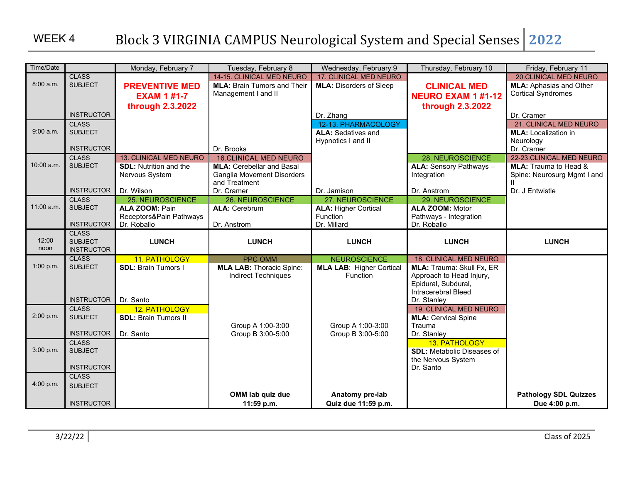| Time/Date     |                                                     | Monday, February 7                                                                         | Tuesday, February 8                                                                                                 | Wednesday, February 9                                                      | Thursday, February 10                                                                                                                        | Friday, February 11                                                                                    |
|---------------|-----------------------------------------------------|--------------------------------------------------------------------------------------------|---------------------------------------------------------------------------------------------------------------------|----------------------------------------------------------------------------|----------------------------------------------------------------------------------------------------------------------------------------------|--------------------------------------------------------------------------------------------------------|
| 8:00a.m.      | <b>CLASS</b><br><b>SUBJECT</b>                      | <b>PREVENTIVE MED</b><br><b>EXAM 1 #1-7</b>                                                | 14-15. CLINICAL MED NEURO<br><b>MLA: Brain Tumors and Their</b><br>Management I and II                              | 17. CLINICAL MED NEURO<br><b>MLA: Disorders of Sleep</b>                   | <b>CLINICAL MED</b><br><b>NEURO EXAM 1 #1-12</b>                                                                                             | <b>20.CLINICAL MED NEURO</b><br><b>MLA:</b> Aphasias and Other<br>Cortical Syndromes                   |
|               | <b>INSTRUCTOR</b>                                   | through 2.3.2022                                                                           |                                                                                                                     | Dr. Zhang                                                                  | through 2.3.2022                                                                                                                             | Dr. Cramer                                                                                             |
| 9:00a.m.      | <b>CLASS</b><br><b>SUBJECT</b>                      |                                                                                            |                                                                                                                     | 12-13. PHARMACOLOGY<br><b>ALA: Sedatives and</b><br>Hypnotics I and II     |                                                                                                                                              | 21. CLINICAL MED NEURO<br><b>MLA:</b> Localization in<br>Neurology                                     |
| 10:00 a.m.    | <b>INSTRUCTOR</b><br><b>CLASS</b><br><b>SUBJECT</b> | <b>13. CLINICAL MED NEURO</b><br><b>SDL:</b> Nutrition and the<br>Nervous System           | Dr. Brooks<br><b>16.CLINICAL MED NEURO</b><br><b>MLA: Cerebellar and Basal</b><br><b>Ganglia Movement Disorders</b> |                                                                            | 28. NEUROSCIENCE<br><b>ALA: Sensory Pathways -</b><br>Integration                                                                            | Dr. Cramer<br>22-23. CLINICAL MED NEURO<br><b>MLA:</b> Trauma to Head &<br>Spine: Neurosurg Mgmt I and |
|               | <b>INSTRUCTOR</b>                                   | Dr. Wilson                                                                                 | and Treatment<br>Dr. Cramer                                                                                         | Dr. Jamison                                                                | Dr. Anstrom                                                                                                                                  | $\mathbf{H}$<br>Dr. J Entwistle                                                                        |
| $11:00$ a.m.  | <b>CLASS</b><br><b>SUBJECT</b><br><b>INSTRUCTOR</b> | <b>25. NEUROSCIENCE</b><br><b>ALA ZOOM: Pain</b><br>Receptors&Pain Pathways<br>Dr. Roballo | 26. NEUROSCIENCE<br><b>ALA: Cerebrum</b><br>Dr. Anstrom                                                             | 27. NEUROSCIENCE<br><b>ALA: Higher Cortical</b><br>Function<br>Dr. Millard | 29. NEUROSCIENCE<br><b>ALA ZOOM: Motor</b><br>Pathways - Integration<br>Dr. Roballo                                                          |                                                                                                        |
| 12:00<br>noon | <b>CLASS</b><br><b>SUBJECT</b><br><b>INSTRUCTOR</b> | <b>LUNCH</b>                                                                               | <b>LUNCH</b>                                                                                                        | <b>LUNCH</b>                                                               | <b>LUNCH</b>                                                                                                                                 | <b>LUNCH</b>                                                                                           |
| 1:00 p.m.     | <b>CLASS</b><br><b>SUBJECT</b><br><b>INSTRUCTOR</b> | 11. PATHOLOGY<br><b>SDL: Brain Tumors I</b><br>Dr. Santo                                   | PPC OMM<br><b>MLA LAB: Thoracic Spine:</b><br><b>Indirect Techniques</b>                                            | <b>NEUROSCIENCE</b><br><b>MLA LAB: Higher Cortical</b><br>Function         | 18. CLINICAL MED NEURO<br>MLA: Trauma: Skull Fx, ER<br>Approach to Head Injury,<br>Epidural, Subdural,<br>Intracerebral Bleed<br>Dr. Stanley |                                                                                                        |
| 2:00 p.m.     | <b>CLASS</b><br><b>SUBJECT</b><br><b>INSTRUCTOR</b> | 12. PATHOLOGY<br><b>SDL: Brain Tumors II</b><br>Dr. Santo                                  | Group A 1:00-3:00<br>Group B 3:00-5:00                                                                              | Group A 1:00-3:00<br>Group B 3:00-5:00                                     | <b>19. CLINICAL MED NEURO</b><br><b>MLA: Cervical Spine</b><br>Trauma<br>Dr. Stanley                                                         |                                                                                                        |
| 3:00 p.m.     | <b>CLASS</b><br><b>SUBJECT</b><br><b>INSTRUCTOR</b> |                                                                                            |                                                                                                                     |                                                                            | 13. PATHOLOGY<br><b>SDL:</b> Metabolic Diseases of<br>the Nervous System<br>Dr. Santo                                                        |                                                                                                        |
| 4:00 p.m.     | <b>CLASS</b><br><b>SUBJECT</b><br><b>INSTRUCTOR</b> |                                                                                            | OMM lab quiz due<br>11:59 p.m.                                                                                      | Anatomy pre-lab<br>Quiz due 11:59 p.m.                                     |                                                                                                                                              | <b>Pathology SDL Quizzes</b><br>Due 4:00 p.m.                                                          |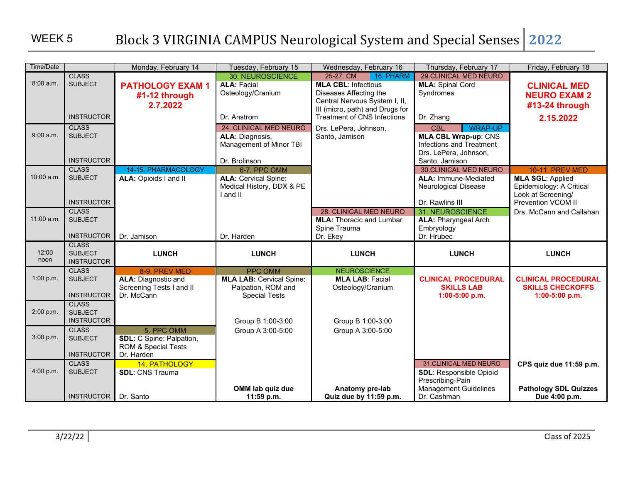| Time/Date     |                                                     | Monday, February 14                                                                   | Tuesday, February 15                                                                     | Wednesday, February 16                                                                                                                             | Thursday, February 17                                                                                            | Friday, February 18                                                                                                       |
|---------------|-----------------------------------------------------|---------------------------------------------------------------------------------------|------------------------------------------------------------------------------------------|----------------------------------------------------------------------------------------------------------------------------------------------------|------------------------------------------------------------------------------------------------------------------|---------------------------------------------------------------------------------------------------------------------------|
| 8:00a.m.      | <b>CLASS</b><br><b>SUBJECT</b>                      | <b>PATHOLOGY EXAM1</b><br>#1-12 through<br>2.7.2022                                   | 30. NEUROSCIENCE<br><b>ALA: Facial</b><br>Osteology/Cranium                              | 16. PHARM<br>25-27. CM<br><b>MLA CBL: Infectious</b><br>Diseases Affecting the<br>Central Nervous System I, II,<br>III (micro, path) and Drugs for | <b>29.CLINICAL MED NEURO</b><br><b>MLA: Spinal Cord</b><br>Syndromes                                             | <b>CLINICAL MED</b><br><b>NEURO EXAM 2</b><br>#13-24 through                                                              |
|               | <b>INSTRUCTOR</b>                                   |                                                                                       | Dr. Anstrom                                                                              | <b>Treatment of CNS Infections</b>                                                                                                                 | Dr. Zhang                                                                                                        | 2.15.2022                                                                                                                 |
| 9:00 a.m.     | <b>CLASS</b><br><b>SUBJECT</b>                      |                                                                                       | 24. CLINICAL MED NEURO<br>ALA: Diagnosis,<br>Management of Minor TBI                     | Drs. LePera, Johnson,<br>Santo, Jamison                                                                                                            | <b>WRAP-UP</b><br><b>CBL</b><br><b>MLA CBL Wrap-up: CNS</b><br>Infections and Treatment<br>Drs. LePera, Johnson, |                                                                                                                           |
|               | <b>INSTRUCTOR</b>                                   |                                                                                       | Dr. Brolinson                                                                            |                                                                                                                                                    | Santo, Jamison                                                                                                   |                                                                                                                           |
| 10:00 a.m.    | <b>CLASS</b><br><b>SUBJECT</b><br><b>INSTRUCTOR</b> | 14-15. PHARMACOLOGY<br>ALA: Opioids I and II                                          | 6-7. PPC OMM<br><b>ALA: Cervical Spine:</b><br>Medical History, DDX & PE<br>I and II     |                                                                                                                                                    | <b>30.CLINICAL MED NEURO</b><br><b>ALA: Immune-Mediated</b><br><b>Neurological Disease</b><br>Dr. Rawlins III    | <b>10-11. PREV MED</b><br><b>MLA SGL: Applied</b><br>Epidemiology: A Critical<br>Look at Screening/<br>Prevention VCOM II |
| 11:00 a.m.    | <b>CLASS</b><br><b>SUBJECT</b>                      |                                                                                       |                                                                                          | 28. CLINICAL MED NEURO<br><b>MLA: Thoracic and Lumbar</b><br>Spine Trauma                                                                          | 31. NEUROSCIENCE<br><b>ALA: Pharyngeal Arch</b><br>Embryology                                                    | Drs. McCann and Callahan                                                                                                  |
|               | <b>INSTRUCTOR</b>                                   | Dr. Jamison                                                                           | Dr. Harden                                                                               | Dr. Ekey                                                                                                                                           | Dr. Hrubec                                                                                                       |                                                                                                                           |
| 12:00<br>noon | <b>CLASS</b><br><b>SUBJECT</b><br><b>INSTRUCTOR</b> | <b>LUNCH</b>                                                                          | <b>LUNCH</b>                                                                             | <b>LUNCH</b>                                                                                                                                       | <b>LUNCH</b>                                                                                                     | <b>LUNCH</b>                                                                                                              |
| 1:00 p.m.     | <b>CLASS</b><br><b>SUBJECT</b><br><b>INSTRUCTOR</b> | 8-9. PREV MED<br><b>ALA: Diagnostic and</b><br>Screening Tests I and II<br>Dr. McCann | PPC OMM<br><b>MLA LAB: Cervical Spine:</b><br>Palpation, ROM and<br><b>Special Tests</b> | <b>NEUROSCIENCE</b><br><b>MLA LAB: Facial</b><br>Osteology/Cranium                                                                                 | <b>CLINICAL PROCEDURAL</b><br><b>SKILLS LAB</b><br>1:00-5:00 p.m.                                                | <b>CLINICAL PROCEDURAL</b><br><b>SKILLS CHECKOFFS</b><br>1:00-5:00 p.m.                                                   |
| 2:00 p.m.     | <b>CLASS</b><br><b>SUBJECT</b><br><b>INSTRUCTOR</b> |                                                                                       | Group B 1:00-3:00                                                                        | Group B 1:00-3:00                                                                                                                                  |                                                                                                                  |                                                                                                                           |
| 3:00 p.m.     | <b>CLASS</b><br><b>SUBJECT</b><br><b>INSTRUCTOR</b> | 5. PPC OMM<br><b>SDL:</b> C Spine: Palpation,<br>ROM & Special Tests<br>Dr. Harden    | Group A 3:00-5:00                                                                        | Group A 3:00-5:00                                                                                                                                  |                                                                                                                  |                                                                                                                           |
| 4:00 p.m.     | <b>CLASS</b><br><b>SUBJECT</b>                      | 14. PATHOLOGY<br><b>SDL: CNS Trauma</b>                                               |                                                                                          |                                                                                                                                                    | <b>31.CLINICAL MED NEURO</b><br><b>SDL: Responsible Opioid</b><br>Prescribing-Pain                               | CPS quiz due 11:59 p.m.                                                                                                   |
|               | INSTRUCTOR Dr. Santo                                |                                                                                       | OMM lab quiz due<br>11:59 p.m.                                                           | Anatomy pre-lab<br>Quiz due by 11:59 p.m.                                                                                                          | <b>Management Guidelines</b><br>Dr. Cashman                                                                      | <b>Pathology SDL Quizzes</b><br>Due 4:00 p.m.                                                                             |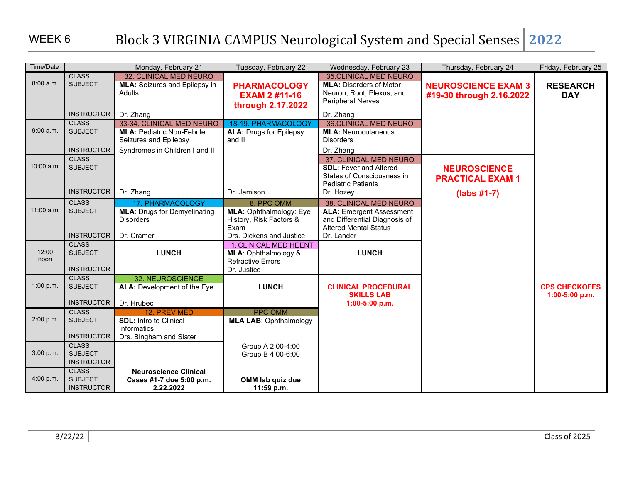### WEEK 6

| Time/Date     |                                                     | Monday, February 21                                                                                                       | Tuesday, February 22                                                                     | Wednesday, February 23                                                                                                     | Thursday, February 24                                  | Friday, February 25                      |
|---------------|-----------------------------------------------------|---------------------------------------------------------------------------------------------------------------------------|------------------------------------------------------------------------------------------|----------------------------------------------------------------------------------------------------------------------------|--------------------------------------------------------|------------------------------------------|
| 8:00a.m.      | <b>CLASS</b><br><b>SUBJECT</b>                      | 32. CLINICAL MED NEURO<br><b>MLA:</b> Seizures and Epilepsy in<br>Adults                                                  | <b>PHARMACOLOGY</b><br><b>EXAM 2 #11-16</b><br>through 2.17.2022                         | <b>35.CLINICAL MED NEURO</b><br><b>MLA: Disorders of Motor</b><br>Neuron, Root, Plexus, and<br><b>Peripheral Nerves</b>    | <b>NEUROSCIENCE EXAM 3</b><br>#19-30 through 2.16.2022 | <b>RESEARCH</b><br><b>DAY</b>            |
|               | <b>INSTRUCTOR</b>                                   | Dr. Zhang                                                                                                                 |                                                                                          | Dr. Zhang                                                                                                                  |                                                        |                                          |
| 9:00 a.m.     | <b>CLASS</b><br><b>SUBJECT</b><br><b>INSTRUCTOR</b> | 33-34. CLINICAL MED NEURO<br><b>MLA: Pediatric Non-Febrile</b><br>Seizures and Epilepsy<br>Syndromes in Children I and II | 18-19. PHARMACOLOGY<br><b>ALA: Drugs for Epilepsy I</b><br>and II                        | <b>36.CLINICAL MED NEURO</b><br><b>MLA: Neurocutaneous</b><br><b>Disorders</b><br>Dr. Zhang                                |                                                        |                                          |
| 10:00 a.m.    | <b>CLASS</b><br><b>SUBJECT</b>                      |                                                                                                                           |                                                                                          | 37. CLINICAL MED NEURO<br><b>SDL: Fever and Altered</b><br>States of Consciousness in<br><b>Pediatric Patients</b>         | <b>NEUROSCIENCE</b><br><b>PRACTICAL EXAM 1</b>         |                                          |
|               | <b>INSTRUCTOR</b>                                   | Dr. Zhang                                                                                                                 | Dr. Jamison                                                                              | Dr. Hozey                                                                                                                  | $(labs #1-7)$                                          |                                          |
| 11:00 a.m.    | <b>CLASS</b><br><b>SUBJECT</b>                      | 17. PHARMACOLOGY<br><b>MLA: Drugs for Demyelinating</b><br><b>Disorders</b>                                               | 8. PPC OMM<br>MLA: Ophthalmology: Eye<br>History, Risk Factors &<br>Exam                 | 38. CLINICAL MED NEURO<br><b>ALA: Emergent Assessment</b><br>and Differential Diagnosis of<br><b>Altered Mental Status</b> |                                                        |                                          |
|               | <b>INSTRUCTOR</b>                                   | Dr. Cramer                                                                                                                | Drs. Dickens and Justice                                                                 | Dr. Lander                                                                                                                 |                                                        |                                          |
| 12:00<br>noon | <b>CLASS</b><br><b>SUBJECT</b><br><b>INSTRUCTOR</b> | <b>LUNCH</b>                                                                                                              | 1. CLINICAL MED HEENT<br>MLA: Ophthalmology &<br><b>Refractive Errors</b><br>Dr. Justice | <b>LUNCH</b>                                                                                                               |                                                        |                                          |
| 1:00 p.m.     | <b>CLASS</b><br><b>SUBJECT</b><br><b>INSTRUCTOR</b> | 32. NEUROSCIENCE<br>ALA: Development of the Eye<br>Dr. Hrubec                                                             | <b>LUNCH</b>                                                                             | <b>CLINICAL PROCEDURAL</b><br><b>SKILLS LAB</b><br>1:00-5:00 p.m.                                                          |                                                        | <b>CPS CHECKOFFS</b><br>$1:00-5:00$ p.m. |
| 2:00 p.m.     | <b>CLASS</b><br><b>SUBJECT</b><br><b>INSTRUCTOR</b> | 12. PREV MED<br><b>SDL:</b> Intro to Clinical<br>Informatics<br>Drs. Bingham and Slater                                   | PPC OMM<br><b>MLA LAB: Ophthalmology</b>                                                 |                                                                                                                            |                                                        |                                          |
| 3:00 p.m.     | <b>CLASS</b><br><b>SUBJECT</b><br><b>INSTRUCTOR</b> |                                                                                                                           | Group A 2:00-4:00<br>Group B 4:00-6:00                                                   |                                                                                                                            |                                                        |                                          |
| 4:00 p.m.     | <b>CLASS</b><br><b>SUBJECT</b><br><b>INSTRUCTOR</b> | <b>Neuroscience Clinical</b><br>Cases #1-7 due 5:00 p.m.<br>2.22.2022                                                     | OMM lab quiz due<br>11:59 p.m.                                                           |                                                                                                                            |                                                        |                                          |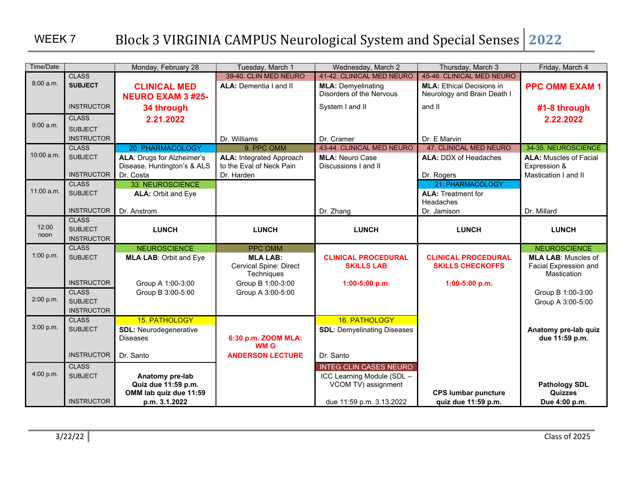| Time/Date     |                                | Monday, February 28                              | Tuesday, March 1                                 | Wednesday, March 2                              | Thursday, March 3                                     | Friday, March 4                                     |
|---------------|--------------------------------|--------------------------------------------------|--------------------------------------------------|-------------------------------------------------|-------------------------------------------------------|-----------------------------------------------------|
|               | <b>CLASS</b>                   |                                                  | 39-40. CLIN MED NEURO                            | 41-42. CLINICAL MED NEURO                       | 45-46. CLINICAL MED NEURO                             |                                                     |
| 8:00a.m.      | <b>SUBJECT</b>                 | <b>CLINICAL MED</b>                              | <b>ALA: Dementia I and II</b>                    | <b>MLA: Demyelinating</b>                       | <b>MLA: Ethical Decisions in</b>                      | <b>PPC OMM EXAM 1</b>                               |
|               |                                | <b>NEURO EXAM 3 #25-</b>                         |                                                  | Disorders of the Nervous                        | Neurology and Brain Death I                           |                                                     |
|               | <b>INSTRUCTOR</b>              | 34 through                                       |                                                  | System I and II                                 | and II                                                | #1-8 through                                        |
|               | <b>CLASS</b>                   | 2.21.2022                                        |                                                  |                                                 |                                                       | 2.22.2022                                           |
| 9:00 a.m.     | <b>SUBJECT</b>                 |                                                  |                                                  |                                                 |                                                       |                                                     |
|               | <b>INSTRUCTOR</b>              |                                                  | Dr. Williams                                     | Dr. Cramer                                      | Dr. E Marvin                                          |                                                     |
|               | <b>CLASS</b>                   | 20. PHARMACOLOGY                                 | 9. PPC OMM                                       | 43-44. CLINICAL MED NEURO                       | <b>47. CLINICAL MED NEURO</b>                         | 34-35. NEUROSCIENCE                                 |
| $10:00$ a.m.  | <b>SUBJECT</b>                 | <b>ALA: Drugs for Alzheimer's</b>                | <b>ALA: Integrated Approach</b>                  | <b>MLA: Neuro Case</b>                          | <b>ALA: DDX of Headaches</b>                          | <b>ALA: Muscles of Facial</b>                       |
|               | <b>INSTRUCTOR</b>              | Disease, Huntington's & ALS                      | to the Eval of Neck Pain                         | Discussions I and II                            |                                                       | Expression &                                        |
|               | <b>CLASS</b>                   | Dr. Costa<br>33. NEUROSCIENCE                    | Dr. Harden                                       |                                                 | Dr. Rogers<br>21. PHARMACOLOGY                        | Mastication I and II                                |
| $11:00$ a.m.  | <b>SUBJECT</b>                 | ALA: Orbit and Eye                               |                                                  |                                                 | <b>ALA: Treatment for</b>                             |                                                     |
|               |                                |                                                  |                                                  |                                                 | Headaches                                             |                                                     |
|               | <b>INSTRUCTOR</b>              | Dr. Anstrom                                      |                                                  | Dr. Zhang                                       | Dr. Jamison                                           | Dr. Millard                                         |
|               | <b>CLASS</b>                   |                                                  |                                                  |                                                 |                                                       |                                                     |
| 12:00<br>noon | <b>SUBJECT</b>                 | <b>LUNCH</b>                                     | <b>LUNCH</b>                                     | <b>LUNCH</b>                                    | <b>LUNCH</b>                                          | <b>LUNCH</b>                                        |
|               | <b>INSTRUCTOR</b>              |                                                  |                                                  |                                                 |                                                       |                                                     |
| 1:00 p.m.     | <b>CLASS</b><br><b>SUBJECT</b> | <b>NEUROSCIENCE</b>                              | PPC OMM                                          |                                                 |                                                       | <b>NEUROSCIENCE</b>                                 |
|               |                                | <b>MLA LAB: Orbit and Eye</b>                    | <b>MLA LAB:</b><br><b>Cervical Spine: Direct</b> | <b>CLINICAL PROCEDURAL</b><br><b>SKILLS LAB</b> | <b>CLINICAL PROCEDURAL</b><br><b>SKILLS CHECKOFFS</b> | <b>MLA LAB: Muscles of</b><br>Facial Expression and |
|               |                                |                                                  | Techniques                                       |                                                 |                                                       | Mastication                                         |
|               | <b>INSTRUCTOR</b>              | Group A 1:00-3:00                                | Group B 1:00-3:00                                | 1:00-5:00 p.m.                                  | 1:00-5:00 p.m.                                        |                                                     |
|               | <b>CLASS</b>                   | Group B 3:00-5:00                                | Group A 3:00-5:00                                |                                                 |                                                       | Group B 1:00-3:00                                   |
| 2:00 p.m.     | <b>SUBJECT</b>                 |                                                  |                                                  |                                                 |                                                       | Group A 3:00-5:00                                   |
|               | <b>INSTRUCTOR</b>              |                                                  |                                                  |                                                 |                                                       |                                                     |
| 3:00 p.m.     | <b>CLASS</b><br><b>SUBJECT</b> | 15. PATHOLOGY                                    |                                                  | 16. PATHOLOGY                                   |                                                       |                                                     |
|               |                                | <b>SDL: Neurodegenerative</b><br><b>Diseases</b> | 6:30 p.m. ZOOM MLA:                              | <b>SDL: Demyelinating Diseases</b>              |                                                       | Anatomy pre-lab quiz<br>due 11:59 p.m.              |
|               |                                |                                                  | <b>WM G</b>                                      |                                                 |                                                       |                                                     |
|               | <b>INSTRUCTOR</b>              | Dr. Santo                                        | <b>ANDERSON LECTURE</b>                          | Dr. Santo                                       |                                                       |                                                     |
|               | <b>CLASS</b>                   |                                                  |                                                  | <b>INTEG CLIN CASES NEURO</b>                   |                                                       |                                                     |
| 4:00 p.m.     | <b>SUBJECT</b>                 | Anatomy pre-lab                                  |                                                  | ICC Learning Module (SDL -                      |                                                       |                                                     |
|               |                                |                                                  |                                                  |                                                 |                                                       |                                                     |
|               | <b>INSTRUCTOR</b>              |                                                  |                                                  |                                                 |                                                       |                                                     |
|               |                                | Quiz due 11:59 p.m.<br>OMM lab quiz due 11:59    |                                                  | VCOM TV) assignment                             | <b>CPS lumbar puncture</b>                            | <b>Pathology SDL</b><br><b>Quizzes</b>              |
|               |                                | p.m. 3.1.2022                                    |                                                  | due 11:59 p.m. 3.13.2022                        | quiz due 11:59 p.m.                                   | Due 4:00 p.m.                                       |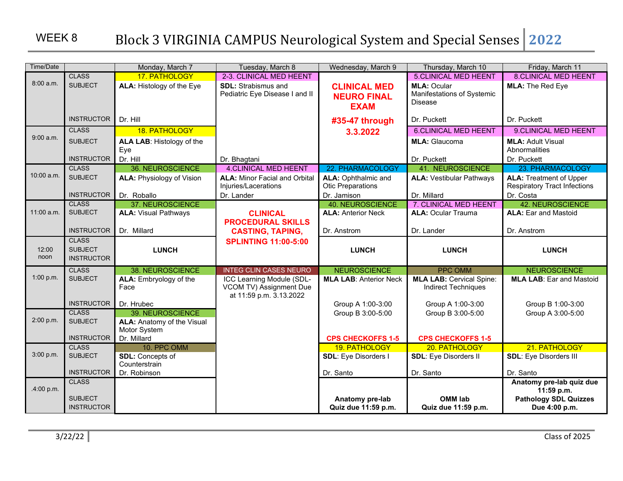## WEEK 8

| Time/Date     |                   | Monday, March 7                   | Tuesday, March 8                                   | Wednesday, March 9            | Thursday, March 10              | Friday, March 11                          |
|---------------|-------------------|-----------------------------------|----------------------------------------------------|-------------------------------|---------------------------------|-------------------------------------------|
|               | <b>CLASS</b>      | 17. PATHOLOGY                     | 2-3. CLINICAL MED HEENT                            |                               | <b>5.CLINICAL MED HEENT</b>     | <b>8.CLINICAL MED HEENT</b>               |
| 8:00 a.m.     | <b>SUBJECT</b>    | ALA: Histology of the Eye         | <b>SDL:</b> Strabismus and                         | <b>CLINICAL MED</b>           | <b>MLA: Ocular</b>              | <b>MLA: The Red Eye</b>                   |
|               |                   |                                   | Pediatric Eye Disease I and II                     | <b>NEURO FINAL</b>            | Manifestations of Systemic      |                                           |
|               |                   |                                   |                                                    | <b>EXAM</b>                   | <b>Disease</b>                  |                                           |
|               | <b>INSTRUCTOR</b> | Dr. Hill                          |                                                    |                               | Dr. Puckett                     | Dr. Puckett                               |
|               |                   |                                   |                                                    | #35-47 through                |                                 |                                           |
| 9:00 a.m.     | <b>CLASS</b>      | 18. PATHOLOGY                     |                                                    | 3.3.2022                      | <b>6.CLINICAL MED HEENT</b>     | 9.CLINICAL MED HEENT                      |
|               | <b>SUBJECT</b>    | ALA LAB: Histology of the<br>Eye  |                                                    |                               | <b>MLA: Glaucoma</b>            | <b>MLA: Adult Visual</b><br>Abnormalities |
|               | <b>INSTRUCTOR</b> | Dr. Hill                          | Dr. Bhagtani                                       |                               | Dr. Puckett                     | Dr. Puckett                               |
|               | <b>CLASS</b>      | 36. NEUROSCIENCE                  | <b>4.CLINICAL MED HEENT</b>                        | 22. PHARMACOLOGY              | <b>41. NEUROSCIENCE</b>         | 23. PHARMACOLOGY                          |
| 10:00 a.m.    | <b>SUBJECT</b>    | <b>ALA: Physiology of Vision</b>  | <b>ALA: Minor Facial and Orbital</b>               | <b>ALA: Ophthalmic and</b>    | <b>ALA: Vestibular Pathways</b> | <b>ALA: Treatment of Upper</b>            |
|               |                   |                                   | Injuries/Lacerations                               | <b>Otic Preparations</b>      |                                 | <b>Respiratory Tract Infections</b>       |
|               | <b>INSTRUCTOR</b> | Dr. Roballo                       | Dr. Lander                                         | Dr. Jamison                   | Dr. Millard                     | Dr. Costa                                 |
|               | <b>CLASS</b>      | 37. NEUROSCIENCE                  |                                                    | <b>40. NEUROSCIENCE</b>       | 7. CLINICAL MED HEENT           | 42. NEUROSCIENCE                          |
| 11:00 a.m.    | <b>SUBJECT</b>    | <b>ALA: Visual Pathways</b>       | <b>CLINICAL</b>                                    | <b>ALA: Anterior Neck</b>     | <b>ALA: Ocular Trauma</b>       | <b>ALA: Ear and Mastoid</b>               |
|               |                   |                                   | <b>PROCEDURAL SKILLS</b>                           |                               |                                 |                                           |
|               | <b>INSTRUCTOR</b> | Dr. Millard                       | <b>CASTING, TAPING,</b>                            | Dr. Anstrom                   | Dr. Lander                      | Dr. Anstrom                               |
|               | <b>CLASS</b>      |                                   | <b>SPLINTING 11:00-5:00</b>                        |                               |                                 |                                           |
| 12:00<br>noon | <b>SUBJECT</b>    | <b>LUNCH</b>                      |                                                    | <b>LUNCH</b>                  | <b>LUNCH</b>                    | <b>LUNCH</b>                              |
|               | <b>INSTRUCTOR</b> |                                   |                                                    |                               |                                 |                                           |
|               | <b>CLASS</b>      | 38. NEUROSCIENCE                  | <b>INTEG CLIN CASES NEURO</b>                      | <b>NEUROSCIENCE</b>           | <b>PPC OMM</b>                  | <b>NEUROSCIENCE</b>                       |
| 1:00 p.m.     | <b>SUBJECT</b>    | ALA: Embryology of the            | ICC Learning Module (SDL-                          | <b>MLA LAB: Anterior Neck</b> | <b>MLA LAB: Cervical Spine:</b> | <b>MLA LAB: Ear and Mastoid</b>           |
|               |                   | Face                              | VCOM TV) Assignment Due<br>at 11:59 p.m. 3.13.2022 |                               | <b>Indirect Techniques</b>      |                                           |
|               | <b>INSTRUCTOR</b> | Dr. Hrubec                        |                                                    | Group A 1:00-3:00             | Group A 1:00-3:00               | Group B 1:00-3:00                         |
|               | <b>CLASS</b>      | 39. NEUROSCIENCE                  |                                                    | Group B 3:00-5:00             | Group B 3:00-5:00               | Group A 3:00-5:00                         |
| 2:00 p.m.     | <b>SUBJECT</b>    | <b>ALA:</b> Anatomy of the Visual |                                                    |                               |                                 |                                           |
|               |                   | Motor System                      |                                                    |                               |                                 |                                           |
|               | <b>INSTRUCTOR</b> | Dr. Millard                       |                                                    | <b>CPS CHECKOFFS 1-5</b>      | <b>CPS CHECKOFFS 1-5</b>        |                                           |
|               | <b>CLASS</b>      | 10. PPC OMM                       |                                                    | 19. PATHOLOGY                 | 20. PATHOLOGY                   | 21. PATHOLOGY                             |
| 3:00 p.m.     | <b>SUBJECT</b>    | SDL: Concepts of                  |                                                    | <b>SDL: Eye Disorders I</b>   | <b>SDL: Eye Disorders II</b>    | <b>SDL: Eye Disorders III</b>             |
|               | <b>INSTRUCTOR</b> | Counterstrain<br>Dr. Robinson     |                                                    | Dr. Santo                     | Dr. Santo                       | Dr. Santo                                 |
|               | <b>CLASS</b>      |                                   |                                                    |                               |                                 | Anatomy pre-lab quiz due                  |
| .4:00 p.m.    |                   |                                   |                                                    |                               |                                 | 11:59 p.m.                                |
|               | <b>SUBJECT</b>    |                                   |                                                    | Anatomy pre-lab               | <b>OMM lab</b>                  | <b>Pathology SDL Quizzes</b>              |
|               | <b>INSTRUCTOR</b> |                                   |                                                    | Quiz due 11:59 p.m.           | Quiz due 11:59 p.m.             | Due 4:00 p.m.                             |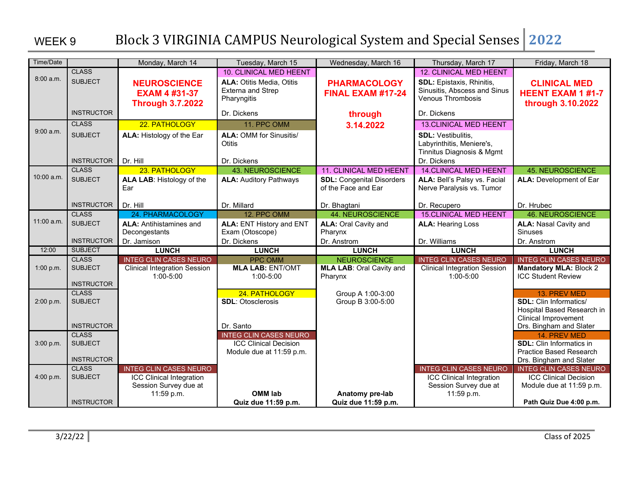| Time/Date    |                                     | Monday, March 14                                                       | Tuesday, March 15                                                    | Wednesday, March 16                                     | Thursday, March 17                                                                    | Friday, March 18                                                     |
|--------------|-------------------------------------|------------------------------------------------------------------------|----------------------------------------------------------------------|---------------------------------------------------------|---------------------------------------------------------------------------------------|----------------------------------------------------------------------|
|              | <b>CLASS</b>                        |                                                                        | <b>10. CLINICAL MED HEENT</b>                                        |                                                         | <b>12. CLINICAL MED HEENT</b>                                                         |                                                                      |
| 8:00a.m.     | <b>SUBJECT</b>                      | <b>NEUROSCIENCE</b><br><b>EXAM 4 #31-37</b><br><b>Through 3.7.2022</b> | <b>ALA: Otitis Media, Otitis</b><br>Externa and Strep<br>Pharyngitis | <b>PHARMACOLOGY</b><br>FINAL EXAM #17-24                | <b>SDL: Epistaxis, Rhinitis,</b><br>Sinusitis, Abscess and Sinus<br>Venous Thrombosis | <b>CLINICAL MED</b><br><b>HEENT EXAM 1 #1-7</b><br>through 3.10.2022 |
|              | <b>INSTRUCTOR</b>                   |                                                                        | Dr. Dickens                                                          | through                                                 | Dr. Dickens                                                                           |                                                                      |
|              | <b>CLASS</b>                        | 22. PATHOLOGY                                                          | 11. PPC OMM                                                          | 3.14.2022                                               | <b>13.CLINICAL MED HEENT</b>                                                          |                                                                      |
| 9:00 a.m.    | <b>SUBJECT</b>                      | ALA: Histology of the Ear                                              | <b>ALA: OMM for Sinusitis/</b><br><b>Otitis</b>                      |                                                         | <b>SDL: Vestibulitis,</b><br>Labyrinthitis, Meniere's,<br>Tinnitus Diagnosis & Mgmt   |                                                                      |
|              | <b>INSTRUCTOR</b>                   | Dr. Hill                                                               | Dr. Dickens                                                          |                                                         | Dr. Dickens                                                                           |                                                                      |
| 10:00 a.m.   | <b>CLASS</b>                        | 23. PATHOLOGY                                                          | <b>43. NEUROSCIENCE</b>                                              | <b>11. CLINICAL MED HEENT</b>                           | <b>14.CLINICAL MED HEENT</b>                                                          | <b>45. NEUROSCIENCE</b>                                              |
|              | <b>SUBJECT</b>                      | ALA LAB: Histology of the<br>Ear                                       | <b>ALA: Auditory Pathways</b>                                        | <b>SDL: Congenital Disorders</b><br>of the Face and Ear | ALA: Bell's Palsy vs. Facial<br>Nerve Paralysis vs. Tumor                             | <b>ALA: Development of Ear</b>                                       |
|              | <b>INSTRUCTOR</b>                   | Dr. Hill                                                               | Dr. Millard                                                          | Dr. Bhagtani                                            | Dr. Recupero                                                                          | Dr. Hrubec                                                           |
|              | <b>CLASS</b>                        | 24. PHARMACOLOGY                                                       | 12. PPC OMM                                                          | <b>44. NEUROSCIENCE</b>                                 | <b>15.CLINICAL MED HEENT</b>                                                          | <b>46. NEUROSCIENCE</b>                                              |
| $11:00$ a.m. | <b>SUBJECT</b>                      | <b>ALA: Antihistamines and</b><br>Decongestants                        | ALA: ENT History and ENT<br>Exam (Otoscope)                          | <b>ALA: Oral Cavity and</b><br>Pharynx                  | <b>ALA: Hearing Loss</b>                                                              | <b>ALA: Nasal Cavity and</b><br><b>Sinuses</b>                       |
|              | <b>INSTRUCTOR</b>                   | Dr. Jamison                                                            | Dr. Dickens                                                          | Dr. Anstrom                                             | Dr. Williams                                                                          | Dr. Anstrom                                                          |
| 12:00        | <b>SUBJECT</b>                      | <b>LUNCH</b>                                                           | <b>LUNCH</b>                                                         | <b>LUNCH</b>                                            | <b>LUNCH</b>                                                                          | <b>LUNCH</b>                                                         |
|              | <b>CLASS</b>                        | <b>INTEG CLIN CASES NEURO</b>                                          | <b>PPC OMM</b>                                                       | <b>NEUROSCIENCE</b>                                     | <b>INTEG CLIN CASES NEURO</b>                                                         | <b>INTEG CLIN CASES NEURO</b>                                        |
| 1:00 p.m.    | <b>SUBJECT</b><br><b>INSTRUCTOR</b> | <b>Clinical Integration Session</b><br>1:00-5:00                       | <b>MLA LAB: ENT/OMT</b><br>$1:00 - 5:00$                             | <b>MLA LAB: Oral Cavity and</b><br>Pharynx              | <b>Clinical Integration Session</b><br>$1:00 - 5:00$                                  | <b>Mandatory MLA: Block 2</b><br><b>ICC Student Review</b>           |
|              | <b>CLASS</b>                        |                                                                        | 24. PATHOLOGY                                                        | Group A 1:00-3:00                                       |                                                                                       | 13. PREV MED                                                         |
| 2:00 p.m.    | <b>SUBJECT</b>                      |                                                                        | <b>SDL: Otosclerosis</b>                                             | Group B 3:00-5:00                                       |                                                                                       | <b>SDL:</b> Clin Informatics/                                        |
|              |                                     |                                                                        |                                                                      |                                                         |                                                                                       | Hospital Based Research in                                           |
|              |                                     |                                                                        |                                                                      |                                                         |                                                                                       | <b>Clinical Improvement</b>                                          |
|              | <b>INSTRUCTOR</b><br><b>CLASS</b>   |                                                                        | Dr. Santo<br><b>INTEG CLIN CASES NEURO</b>                           |                                                         |                                                                                       | Drs. Bingham and Slater                                              |
| 3:00 p.m.    | <b>SUBJECT</b>                      |                                                                        | <b>ICC Clinical Decision</b>                                         |                                                         |                                                                                       | 14. PREV MED<br><b>SDL:</b> Clin Informatics in                      |
|              |                                     |                                                                        | Module due at 11:59 p.m.                                             |                                                         |                                                                                       | Practice Based Research                                              |
|              | <b>INSTRUCTOR</b>                   |                                                                        |                                                                      |                                                         |                                                                                       | Drs. Bingham and Slater                                              |
|              | <b>CLASS</b>                        | <b>INTEG CLIN CASES NEURO</b>                                          |                                                                      |                                                         | <b>INTEG CLIN CASES NEURO</b>                                                         | <b>INTEG CLIN CASES NEURO</b>                                        |
| 4:00 p.m.    | <b>SUBJECT</b>                      | <b>ICC Clinical Integration</b>                                        |                                                                      |                                                         | <b>ICC Clinical Integration</b>                                                       | <b>ICC Clinical Decision</b>                                         |
|              |                                     | Session Survey due at                                                  |                                                                      |                                                         | Session Survey due at                                                                 | Module due at 11:59 p.m.                                             |
|              | <b>INSTRUCTOR</b>                   | 11:59 p.m.                                                             | <b>OMM lab</b>                                                       | Anatomy pre-lab                                         | 11:59 p.m.                                                                            |                                                                      |
|              |                                     |                                                                        | Quiz due 11:59 p.m.                                                  | Quiz due 11:59 p.m.                                     |                                                                                       | Path Quiz Due 4:00 p.m.                                              |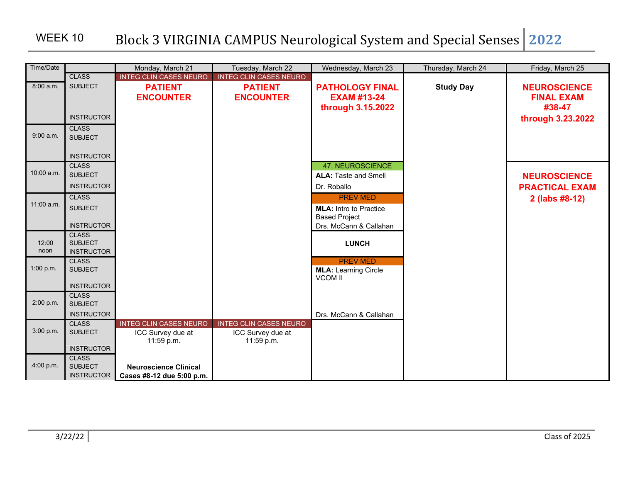| Time/Date    |                                   | Monday, March 21              | Tuesday, March 22             | Wednesday, March 23           | Thursday, March 24 | Friday, March 25      |
|--------------|-----------------------------------|-------------------------------|-------------------------------|-------------------------------|--------------------|-----------------------|
|              | <b>CLASS</b>                      | <b>INTEG CLIN CASES NEURO</b> | <b>INTEG CLIN CASES NEURO</b> |                               |                    |                       |
| 8:00a.m.     | <b>SUBJECT</b>                    | <b>PATIENT</b>                | <b>PATIENT</b>                | <b>PATHOLOGY FINAL</b>        | <b>Study Day</b>   | <b>NEUROSCIENCE</b>   |
|              |                                   | <b>ENCOUNTER</b>              | <b>ENCOUNTER</b>              | <b>EXAM #13-24</b>            |                    | <b>FINAL EXAM</b>     |
|              |                                   |                               |                               | through 3.15.2022             |                    | #38-47                |
|              | <b>INSTRUCTOR</b>                 |                               |                               |                               |                    | through 3.23.2022     |
|              | <b>CLASS</b>                      |                               |                               |                               |                    |                       |
| 9:00 a.m.    | <b>SUBJECT</b>                    |                               |                               |                               |                    |                       |
|              |                                   |                               |                               |                               |                    |                       |
|              | <b>INSTRUCTOR</b>                 |                               |                               |                               |                    |                       |
| $10:00$ a.m. | <b>CLASS</b>                      |                               |                               | 47. NEUROSCIENCE              |                    |                       |
|              | <b>SUBJECT</b>                    |                               |                               | <b>ALA: Taste and Smell</b>   |                    | <b>NEUROSCIENCE</b>   |
|              | <b>INSTRUCTOR</b>                 |                               |                               | Dr. Roballo                   |                    | <b>PRACTICAL EXAM</b> |
| $11:00$ a.m. | <b>CLASS</b>                      |                               |                               | <b>PREV MED</b>               |                    | 2 (labs #8-12)        |
|              | <b>SUBJECT</b>                    |                               |                               | <b>MLA:</b> Intro to Practice |                    |                       |
|              |                                   |                               |                               | <b>Based Project</b>          |                    |                       |
|              | <b>INSTRUCTOR</b><br><b>CLASS</b> |                               |                               | Drs. McCann & Callahan        |                    |                       |
| 12:00        | <b>SUBJECT</b>                    |                               |                               | <b>LUNCH</b>                  |                    |                       |
| noon         | <b>INSTRUCTOR</b>                 |                               |                               |                               |                    |                       |
|              | <b>CLASS</b>                      |                               |                               | <b>PREV MED</b>               |                    |                       |
| 1:00 p.m.    | <b>SUBJECT</b>                    |                               |                               | <b>MLA: Learning Circle</b>   |                    |                       |
|              | <b>INSTRUCTOR</b>                 |                               |                               | <b>VCOM II</b>                |                    |                       |
|              | <b>CLASS</b>                      |                               |                               |                               |                    |                       |
| 2:00 p.m.    | <b>SUBJECT</b>                    |                               |                               |                               |                    |                       |
|              | <b>INSTRUCTOR</b>                 |                               |                               | Drs. McCann & Callahan        |                    |                       |
|              | <b>CLASS</b>                      | <b>INTEG CLIN CASES NEURO</b> | <b>INTEG CLIN CASES NEURO</b> |                               |                    |                       |
| 3:00 p.m.    | <b>SUBJECT</b>                    | ICC Survey due at             | ICC Survey due at             |                               |                    |                       |
|              | <b>INSTRUCTOR</b>                 | 11:59 p.m.                    | 11:59 p.m.                    |                               |                    |                       |
|              | <b>CLASS</b>                      |                               |                               |                               |                    |                       |
| .4:00 p.m.   | <b>SUBJECT</b>                    | <b>Neuroscience Clinical</b>  |                               |                               |                    |                       |
|              | <b>INSTRUCTOR</b>                 | Cases #8-12 due 5:00 p.m.     |                               |                               |                    |                       |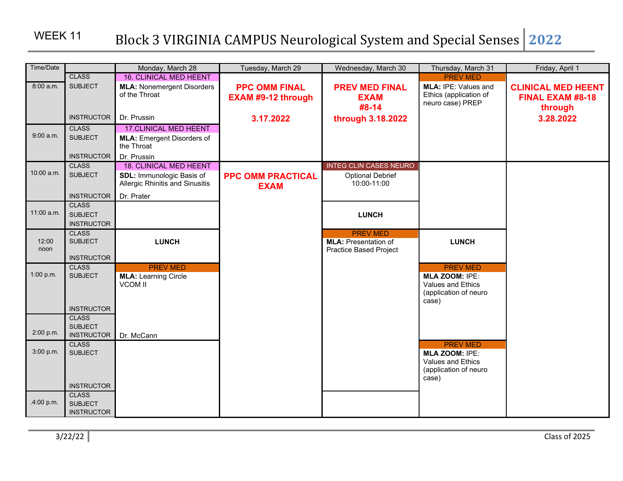### WEEK 11

| Time/Date     |                                                     | Monday, March 28                                             | Tuesday, March 29                                 | Wednesday, March 30                                          | Thursday, March 31                                                                              | Friday, April 1                                      |
|---------------|-----------------------------------------------------|--------------------------------------------------------------|---------------------------------------------------|--------------------------------------------------------------|-------------------------------------------------------------------------------------------------|------------------------------------------------------|
|               | <b>CLASS</b>                                        | <b>16. CLINICAL MED HEENT</b>                                |                                                   |                                                              | <b>PREV MED</b>                                                                                 |                                                      |
| 8:00 a.m.     | <b>SUBJECT</b>                                      | <b>MLA: Nonemergent Disorders</b><br>of the Throat           | <b>PPC OMM FINAL</b><br><b>EXAM #9-12 through</b> | <b>PREV MED FINAL</b><br><b>EXAM</b>                         | MLA: IPE: Values and<br>Ethics (application of<br>neuro case) PREP                              | <b>CLINICAL MED HEENT</b><br><b>FINAL EXAM #8-18</b> |
|               | <b>INSTRUCTOR</b>                                   | Dr. Prussin                                                  | 3.17.2022                                         | #8-14<br>through 3.18.2022                                   |                                                                                                 | through<br>3.28.2022                                 |
|               | <b>CLASS</b>                                        | <b>17.CLINICAL MED HEENT</b>                                 |                                                   |                                                              |                                                                                                 |                                                      |
| 9:00 a.m.     | <b>SUBJECT</b>                                      | <b>MLA:</b> Emergent Disorders of<br>the Throat              |                                                   |                                                              |                                                                                                 |                                                      |
|               | <b>INSTRUCTOR</b>                                   | Dr. Prussin                                                  |                                                   |                                                              |                                                                                                 |                                                      |
|               | <b>CLASS</b>                                        | <b>18. CLINICAL MED HEENT</b>                                |                                                   | <b>INTEG CLIN CASES NEURO</b>                                |                                                                                                 |                                                      |
| 10:00 a.m.    | <b>SUBJECT</b>                                      | SDL: Immunologic Basis of<br>Allergic Rhinitis and Sinusitis | <b>PPC OMM PRACTICAL</b><br><b>EXAM</b>           | <b>Optional Debrief</b><br>10:00-11:00                       |                                                                                                 |                                                      |
|               | <b>INSTRUCTOR</b>                                   | Dr. Prater                                                   |                                                   |                                                              |                                                                                                 |                                                      |
| 11:00 a.m.    | <b>CLASS</b><br><b>SUBJECT</b><br><b>INSTRUCTOR</b> |                                                              |                                                   | <b>LUNCH</b>                                                 |                                                                                                 |                                                      |
|               | <b>CLASS</b>                                        |                                                              |                                                   | <b>PREV MED</b>                                              |                                                                                                 |                                                      |
| 12:00<br>noon | <b>SUBJECT</b><br><b>INSTRUCTOR</b>                 | <b>LUNCH</b>                                                 |                                                   | <b>MLA: Presentation of</b><br><b>Practice Based Project</b> | <b>LUNCH</b>                                                                                    |                                                      |
|               | <b>CLASS</b>                                        | <b>PREV MED</b>                                              |                                                   |                                                              | <b>PREV MED</b>                                                                                 |                                                      |
| 1:00 p.m.     | <b>SUBJECT</b><br><b>INSTRUCTOR</b>                 | <b>MLA: Learning Circle</b><br><b>VCOM II</b>                |                                                   |                                                              | <b>MLA ZOOM: IPE:</b><br><b>Values and Ethics</b><br>(application of neuro<br>case)             |                                                      |
|               | <b>CLASS</b>                                        |                                                              |                                                   |                                                              |                                                                                                 |                                                      |
| 2:00 p.m.     | <b>SUBJECT</b><br><b>INSTRUCTOR</b>                 | Dr. McCann                                                   |                                                   |                                                              |                                                                                                 |                                                      |
| 3:00 p.m.     | <b>CLASS</b><br><b>SUBJECT</b><br><b>INSTRUCTOR</b> |                                                              |                                                   |                                                              | <b>PREV MED</b><br><b>MLA ZOOM: IPE:</b><br>Values and Ethics<br>(application of neuro<br>case) |                                                      |
| .4:00 p.m.    | <b>CLASS</b><br><b>SUBJECT</b><br><b>INSTRUCTOR</b> |                                                              |                                                   |                                                              |                                                                                                 |                                                      |